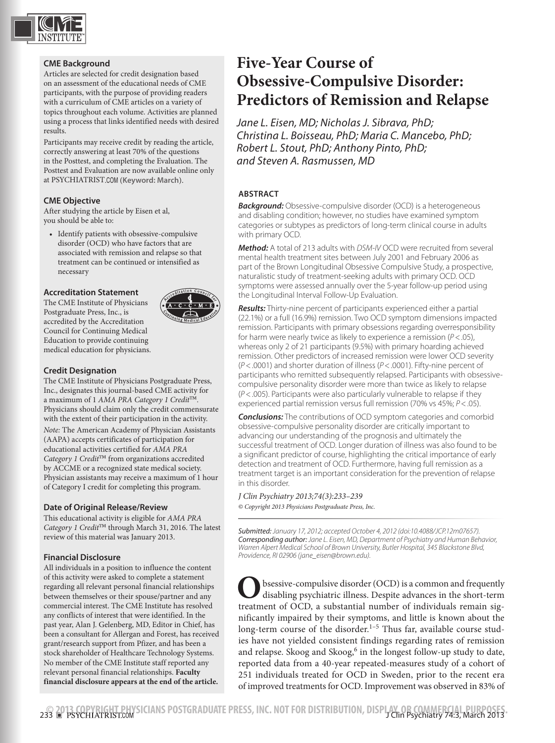

## **CME Background**

Articles are selected for credit designation based on an assessment of the educational needs of CME participants, with the purpose of providing readers with a curriculum of CME articles on a variety of topics throughout each volume. Activities are planned using a process that links identified needs with desired results.

Participants may receive credit by reading the article, correctly answering at least 70% of the questions in the Posttest, and completing the Evaluation. The Posttest and Evaluation are now available online only at PSYCHIATRIST.COM (**Keyword: March**).

### **CME Objective**

After studying the article by Eisen et al, you should be able to:

• Identify patients with obsessive-compulsive disorder (OCD) who have factors that are associated with remission and relapse so that treatment can be continued or intensified as necessary

### **Accreditation Statement**

The CME Institute of Physicians Postgraduate Press, Inc., is accredited by the Accreditation Council for Continuing Medical Education to provide continuing medical education for physicians.



The CME Institute of Physicians Postgraduate Press, Inc., designates this journal-based CME activity for a maximum of 1 *AMA PRA Category 1 Credit*™*.* Physicians should claim only the credit commensurate with the extent of their participation in the activity. *Note:* The American Academy of Physician Assistants (AAPA) accepts certificates of participation for educational activities certified for *AMA PRA Category 1 Credit*™ from organizations accredited by ACCME or a recognized state medical society. Physician assistants may receive a maximum of 1 hour of Category I credit for completing this program.

## **Date of Original Release/Review**

This educational activity is eligible for *AMA PRA Category 1 Credit*™ through March 31, 2016. The latest review of this material was January 2013.

## **Financial Disclosure**

All individuals in a position to influence the content of this activity were asked to complete a statement regarding all relevant personal financial relationships between themselves or their spouse/partner and any commercial interest. The CME Institute has resolved any conflicts of interest that were identified. In the past year, Alan J. Gelenberg, MD, Editor in Chief, has been a consultant for Allergan and Forest, has received grant/research support from Pfizer, and has been a stock shareholder of Healthcare Technology Systems. No member of the CME Institute staff reported any relevant personal financial relationships. **Faculty financial disclosure appears at the end of the article.**

# **Five-Year Course of Obsessive-Compulsive Disorder: Predictors of Remission and Relapse**

*Jane L. Eisen, MD; Nicholas J. Sibrava, PhD; Christina L. Boisseau, PhD; Maria C. Mancebo, PhD; Robert L. Stout, PhD; Anthony Pinto, PhD; and Steven A. Rasmussen, MD*

# **ABSTRACT**

*Background:* Obsessive-compulsive disorder (OCD) is a heterogeneous and disabling condition; however, no studies have examined symptom categories or subtypes as predictors of long-term clinical course in adults with primary OCD.

*Method:* A total of 213 adults with *DSM-IV* OCD were recruited from several mental health treatment sites between July 2001 and February 2006 as part of the Brown Longitudinal Obsessive Compulsive Study, a prospective, naturalistic study of treatment-seeking adults with primary OCD. OCD symptoms were assessed annually over the 5-year follow-up period using the Longitudinal Interval Follow-Up Evaluation.

*Results:* Thirty-nine percent of participants experienced either a partial (22.1%) or a full (16.9%) remission. Two OCD symptom dimensions impacted remission. Participants with primary obsessions regarding overresponsibility for harm were nearly twice as likely to experience a remission (*P*<.05), whereas only 2 of 21 participants (9.5%) with primary hoarding achieved remission. Other predictors of increased remission were lower OCD severity (*P*<.0001) and shorter duration of illness (*P*<.0001). Fifty-nine percent of participants who remitted subsequently relapsed. Participants with obsessivecompulsive personality disorder were more than twice as likely to relapse (*P*<.005). Participants were also particularly vulnerable to relapse if they experienced partial remission versus full remission (70% vs 45%; *P*<.05).

*Conclusions:* The contributions of OCD symptom categories and comorbid obsessive-compulsive personality disorder are critically important to advancing our understanding of the prognosis and ultimately the successful treatment of OCD. Longer duration of illness was also found to be a significant predictor of course, highlighting the critical importance of early detection and treatment of OCD. Furthermore, having full remission as a treatment target is an important consideration for the prevention of relapse in this disorder.

*J Clin Psychiatry 2013;74(3):233–239 © Copyright 2013 Physicians Postgraduate Press, Inc.*

*Submitted: January 17, 2012; accepted October 4, 2012 (doi:10.4088/JCP.12m07657). Corresponding author: Jane L. Eisen, MD, Department of Psychiatry and Human Behavior, Warren Alpert Medical School of Brown University, Butler Hospital, 345 Blackstone Blvd, Providence, RI 02906 (jane\_eisen@brown.edu).*

 $\sum$  bsessive-compulsive disorder (OCD) is a common and frequently<br>disabling psychiatric illness. Despite advances in the short-term<br>treatment of OCD, a substantial number of individuals remain sig treatment of OCD, a substantial number of individuals remain significantly impaired by their symptoms, and little is known about the long-term course of the disorder. $1-5$  Thus far, available course studies have not yielded consistent findings regarding rates of remission and relapse. Skoog and Skoog,<sup>6</sup> in the longest follow-up study to date, reported data from a 40-year repeated-measures study of a cohort of 251 individuals treated for OCD in Sweden, prior to the recent era of improved treatments for OCD. Improvement was observed in 83% of

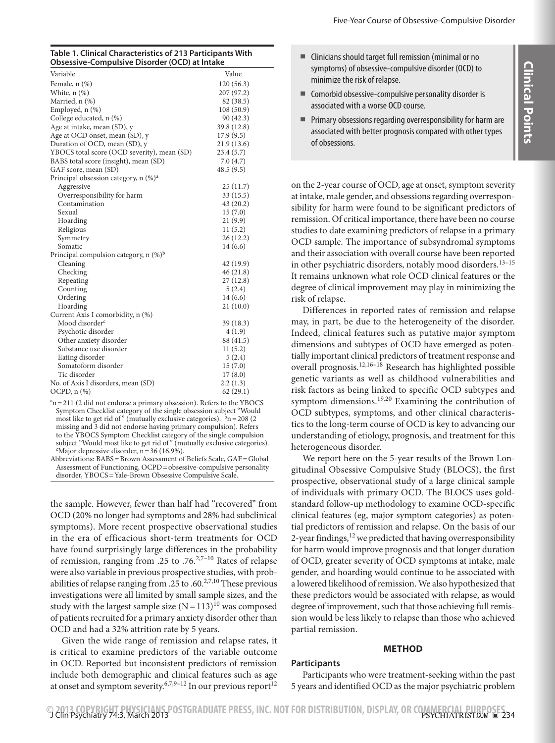| Table 1. Clinical Characteristics of 213 Participants With |  |
|------------------------------------------------------------|--|
| Obsessive-Compulsive Disorder (OCD) at Intake              |  |

| Obsessive-Compaisive Disorder (OCD) at intake       |             |
|-----------------------------------------------------|-------------|
| Variable                                            | Value       |
| Female, n (%)                                       | 120 (56.3)  |
| White, $n$ $(\%)$                                   | 207 (97.2)  |
| Married, n (%)                                      | 82 (38.5)   |
| Employed, $n$ $(\%)$                                | 108(50.9)   |
| College educated, n (%)                             | 90 (42.3)   |
| Age at intake, mean (SD), y                         | 39.8 (12.8) |
| Age at OCD onset, mean (SD), y                      | 17.9(9.5)   |
| Duration of OCD, mean (SD), y                       | 21.9 (13.6) |
| YBOCS total score (OCD severity), mean (SD)         | 23.4(5.7)   |
| BABS total score (insight), mean (SD)               | 7.0(4.7)    |
| GAF score, mean (SD)                                | 48.5(9.5)   |
| Principal obsession category, n (%) <sup>a</sup>    |             |
| Aggressive                                          | 25(11.7)    |
| Overresponsibility for harm                         | 33 (15.5)   |
| Contamination                                       | 43(20.2)    |
| Sexual                                              | 15(7.0)     |
| Hoarding                                            | 21(9.9)     |
| Religious                                           | 11(5.2)     |
| Symmetry                                            | 26 (12.2)   |
| Somatic                                             | 14 (6.6)    |
| Principal compulsion category, $n$ (%) <sup>b</sup> |             |
| Cleaning                                            | 42 (19.9)   |
| Checking                                            | 46(21.8)    |
| Repeating                                           | 27 (12.8)   |
| Counting                                            | 5(2.4)      |
| Ordering                                            | 14(6.6)     |
| Hoarding                                            | 21(10.0)    |
| Current Axis I comorbidity, n (%)                   |             |
| Mood disorder <sup>c</sup>                          | 39 (18.3)   |
| Psychotic disorder                                  | 4(1.9)      |
| Other anxiety disorder                              | 88 (41.5)   |
| Substance use disorder                              | 11(5.2)     |
| Eating disorder                                     | 5(2.4)      |
| Somatoform disorder                                 | 15(7.0)     |
| Tic disorder                                        | 17(8.0)     |
| No. of Axis I disorders, mean (SD)                  | 2.2(1.3)    |
| $OCPD$ , n $(\%)$                                   | 62(29.1)    |

a n=211 (2 did not endorse a primary obsession). Refers to the YBOCS Symptom Checklist category of the single obsession subject "Would most like to get rid of" (mutually exclusive categories).  $\frac{b_n}{208}$  (2) missing and 3 did not endorse having primary compulsion). Refers to the YBOCS Symptom Checklist category of the single compulsion subject "Would most like to get rid of" (mutually exclusive categories). c Major depressive disorder, n=36 (16.9%).

Abbreviations: BABS=Brown Assessment of Beliefs Scale, GAF=Global Assessment of Functioning, OCPD=obsessive-compulsive personality disorder, YBOCS = Yale-Brown Obsessive Compulsive Scale.

the sample. However, fewer than half had "recovered" from OCD (20% no longer had symptoms and 28% had subclinical symptoms). More recent prospective observational studies in the era of efficacious short-term treatments for OCD have found surprisingly large differences in the probability of remission, ranging from .25 to .76.<sup>2,7-10</sup> Rates of relapse were also variable in previous prospective studies, with probabilities of relapse ranging from .25 to .60. $^{2,7,10}$  These previous investigations were all limited by small sample sizes, and the study with the largest sample size  $(N=113)^{10}$  was composed of patients recruited for a primary anxiety disorder other than OCD and had a 32% attrition rate by 5 years.

Given the wide range of remission and relapse rates, it is critical to examine predictors of the variable outcome in OCD. Reported but inconsistent predictors of remission include both demographic and clinical features such as age at onset and symptom severity.<sup>6,7,9-12</sup> In our previous report<sup>12</sup>

- Comorbid obsessive-compulsive personality disorder is associated with a worse OCD course.
- Primary obsessions regarding overresponsibility for harm are associated with better prognosis compared with other types of obsessions.

on the 2-year course of OCD, age at onset, symptom severity at intake, male gender, and obsessions regarding overresponsibility for harm were found to be significant predictors of remission. Of critical importance, there have been no course studies to date examining predictors of relapse in a primary OCD sample. The importance of subsyndromal symptoms and their association with overall course have been reported in other psychiatric disorders, notably mood disorders.<sup>13–15</sup> It remains unknown what role OCD clinical features or the degree of clinical improvement may play in minimizing the risk of relapse.

Differences in reported rates of remission and relapse may, in part, be due to the heterogeneity of the disorder. Indeed, clinical features such as putative major symptom dimensions and subtypes of OCD have emerged as potentially important clinical predictors of treatment response and overall prognosis.12,16–18 Research has highlighted possible genetic variants as well as childhood vulnerabilities and risk factors as being linked to specific OCD subtypes and symptom dimensions.19,20 Examining the contribution of OCD subtypes, symptoms, and other clinical characteristics to the long-term course of OCD is key to advancing our understanding of etiology, prognosis, and treatment for this heterogeneous disorder.

We report here on the 5-year results of the Brown Longitudinal Obsessive Compulsive Study (BLOCS), the first prospective, observational study of a large clinical sample of individuals with primary OCD. The BLOCS uses goldstandard follow-up methodology to examine OCD-specific clinical features (eg, major symptom categories) as potential predictors of remission and relapse. On the basis of our 2-year findings,<sup>12</sup> we predicted that having overresponsibility for harm would improve prognosis and that longer duration of OCD, greater severity of OCD symptoms at intake, male gender, and hoarding would continue to be associated with a lowered likelihood of remission. We also hypothesized that these predictors would be associated with relapse, as would degree of improvement, such that those achieving full remission would be less likely to relapse than those who achieved partial remission.

## **METHOD**

## **Participants**

Participants who were treatment-seeking within the past 5 years and identified OCD as the major psychiatric problem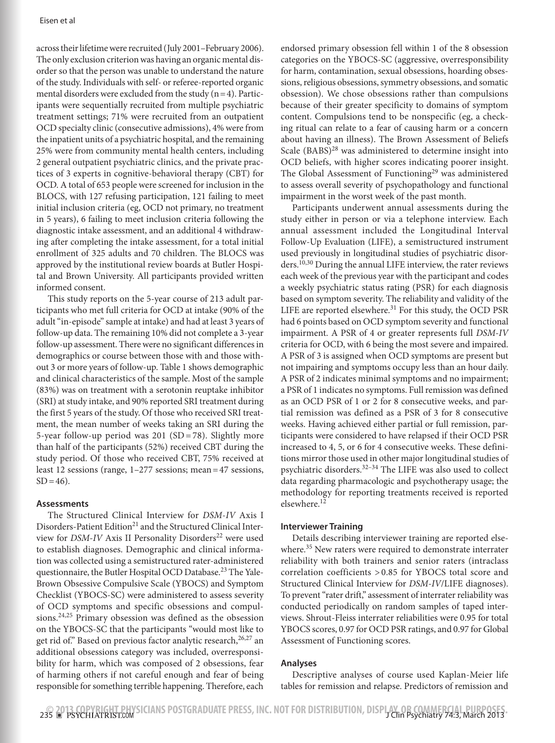across their lifetime were recruited (July 2001–February 2006). The only exclusion criterion was having an organic mental disorder so that the person was unable to understand the nature of the study. Individuals with self- or referee-reported organic mental disorders were excluded from the study  $(n=4)$ . Participants were sequentially recruited from multiple psychiatric treatment settings; 71% were recruited from an outpatient OCD specialty clinic (consecutive admissions), 4% were from the inpatient units of a psychiatric hospital, and the remaining 25% were from community mental health centers, including 2 general outpatient psychiatric clinics, and the private practices of 3 experts in cognitive-behavioral therapy (CBT) for OCD. A total of 653 people were screened for inclusion in the BLOCS, with 127 refusing participation, 121 failing to meet initial inclusion criteria (eg, OCD not primary, no treatment in 5 years), 6 failing to meet inclusion criteria following the diagnostic intake assessment, and an additional 4 withdrawing after completing the intake assessment, for a total initial enrollment of 325 adults and 70 children. The BLOCS was approved by the institutional review boards at Butler Hospital and Brown University. All participants provided written informed consent.

This study reports on the 5-year course of 213 adult participants who met full criteria for OCD at intake (90% of the adult "in-episode" sample at intake) and had at least 3 years of follow-up data. The remaining 10% did not complete a 3-year follow-up assessment. There were no significant differences in demographics or course between those with and those without 3 or more years of follow-up. Table 1 shows demographic and clinical characteristics of the sample. Most of the sample (83%) was on treatment with a serotonin reuptake inhibitor (SRI) at study intake, and 90% reported SRI treatment during the first 5 years of the study. Of those who received SRI treatment, the mean number of weeks taking an SRI during the 5-year follow-up period was  $201$  (SD = 78). Slightly more than half of the participants (52%) received CBT during the study period. Of those who received CBT, 75% received at least 12 sessions (range, 1–277 sessions; mean=47 sessions,  $SD = 46$ ).

### **Assessments**

The Structured Clinical Interview for *DSM-IV* Axis I Disorders-Patient Edition<sup>21</sup> and the Structured Clinical Interview for *DSM-IV* Axis II Personality Disorders<sup>22</sup> were used to establish diagnoses. Demographic and clinical information was collected using a semistructured rater-administered questionnaire, the Butler Hospital OCD Database.<sup>23</sup> The Yale-Brown Obsessive Compulsive Scale (YBOCS) and Symptom Checklist (YBOCS-SC) were administered to assess severity of OCD symptoms and specific obsessions and compulsions.<sup>24,25</sup> Primary obsession was defined as the obsession on the YBOCS-SC that the participants "would most like to get rid of." Based on previous factor analytic research,<sup>26,27</sup> an additional obsessions category was included, overresponsibility for harm, which was composed of 2 obsessions, fear of harming others if not careful enough and fear of being responsible for something terrible happening. Therefore, each

endorsed primary obsession fell within 1 of the 8 obsession categories on the YBOCS-SC (aggressive, overresponsibility for harm, contamination, sexual obsessions, hoarding obsessions, religious obsessions, symmetry obsessions, and somatic obsession). We chose obsessions rather than compulsions because of their greater specificity to domains of symptom content. Compulsions tend to be nonspecific (eg, a checking ritual can relate to a fear of causing harm or a concern about having an illness). The Brown Assessment of Beliefs Scale  $(BABS)^{28}$  was administered to determine insight into OCD beliefs, with higher scores indicating poorer insight. The Global Assessment of Functioning<sup>29</sup> was administered to assess overall severity of psychopathology and functional impairment in the worst week of the past month.

Participants underwent annual assessments during the study either in person or via a telephone interview. Each annual assessment included the Longitudinal Interval Follow-Up Evaluation (LIFE), a semistructured instrument used previously in longitudinal studies of psychiatric disorders.<sup>10,30</sup> During the annual LIFE interview, the rater reviews each week of the previous year with the participant and codes a weekly psychiatric status rating (PSR) for each diagnosis based on symptom severity. The reliability and validity of the LIFE are reported elsewhere. $31$  For this study, the OCD PSR had 6 points based on OCD symptom severity and functional impairment. A PSR of 4 or greater represents full *DSM-IV* criteria for OCD, with 6 being the most severe and impaired. A PSR of 3 is assigned when OCD symptoms are present but not impairing and symptoms occupy less than an hour daily. A PSR of 2 indicates minimal symptoms and no impairment; a PSR of 1 indicates no symptoms. Full remission was defined as an OCD PSR of 1 or 2 for 8 consecutive weeks, and partial remission was defined as a PSR of 3 for 8 consecutive weeks. Having achieved either partial or full remission, participants were considered to have relapsed if their OCD PSR increased to 4, 5, or 6 for 4 consecutive weeks. These definitions mirror those used in other major longitudinal studies of psychiatric disorders.32–34 The LIFE was also used to collect data regarding pharmacologic and psychotherapy usage; the methodology for reporting treatments received is reported elsewhere.12

### **Interviewer Training**

Details describing interviewer training are reported elsewhere.<sup>35</sup> New raters were required to demonstrate interrater reliability with both trainers and senior raters (intraclass correlation coefficients > 0.85 for YBOCS total score and Structured Clinical Interview for *DSM-IV*/LIFE diagnoses). To prevent "rater drift," assessment of interrater reliability was conducted periodically on random samples of taped interviews. Shrout-Fleiss interrater reliabilities were 0.95 for total YBOCS scores, 0.97 for OCD PSR ratings, and 0.97 for Global Assessment of Functioning scores.

### **Analyses**

Descriptive analyses of course used Kaplan-Meier life tables for remission and relapse. Predictors of remission and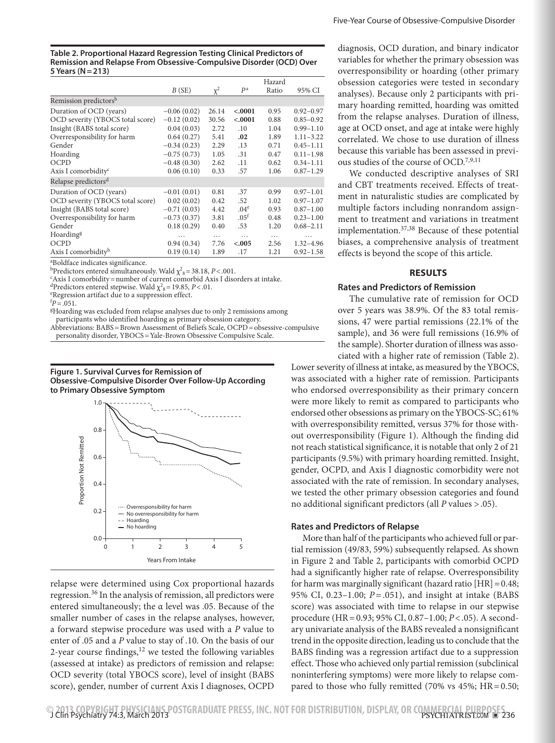**Table 2. Proportional Hazard Regression Testing Clinical Predictors of Remission and Relapse From Obsessive-Compulsive Disorder (OCD) Over 5 Years (N=213)**

|                                   |               |          |                  | Hazard |               |
|-----------------------------------|---------------|----------|------------------|--------|---------------|
|                                   | B(SE)         | $\chi^2$ | Pa               | Ratio  | 95% CI        |
| Remission predictors <sup>b</sup> |               |          |                  |        |               |
| Duration of OCD (years)           | $-0.06(0.02)$ | 26.14    | < .0001          | 0.95   | $0.92 - 0.97$ |
| OCD severity (YBOCS total score)  | $-0.12(0.02)$ | 30.56    | < .0001          | 0.88   | $0.85 - 0.92$ |
| Insight (BABS total score)        | 0.04(0.03)    | 2.72     | .10              | 1.04   | $0.99 - 1.10$ |
| Overresponsibility for harm       | 0.64(0.27)    | 5.41     | .02              | 1.89   | $1.11 - 3.22$ |
| Gender                            | $-0.34(0.23)$ | 2.29     | .13              | 0.71   | $0.45 - 1.11$ |
| Hoarding                          | $-0.75(0.73)$ | 1.05     | .31              | 0.47   | $0.11 - 1.98$ |
| OCPD                              | $-0.48(0.30)$ | 2.62     | .11              | 0.62   | $0.34 - 1.11$ |
| Axis I comorbidity <sup>c</sup>   | 0.06(0.10)    | 0.33     | .57              | 1.06   | $0.87 - 1.29$ |
| Relapse predictors <sup>d</sup>   |               |          |                  |        |               |
| Duration of OCD (years)           | $-0.01(0.01)$ | 0.81     | .37              | 0.99   | $0.97 - 1.01$ |
| OCD severity (YBOCS total score)  | 0.02(0.02)    | 0.42     | .52              | 1.02   | $0.97 - 1.07$ |
| Insight (BABS total score)        | $-0.71(0.03)$ | 4.42     | .04 <sup>e</sup> | 0.93   | $0.87 - 1.00$ |
| Overresponsibility for harm       | $-0.73(0.37)$ | 3.81     | .05 <sup>t</sup> | 0.48   | $0.23 - 1.00$ |
| Gender                            | 0.18(0.29)    | 0.40     | .53              | 1.20   | $0.68 - 2.11$ |
| Hoarding <sup>g</sup>             | $\cdots$      | .        | .                | .      | .             |
| OCPD                              | 0.94(0.34)    | 7.76     | < .005           | 2.56   | $1.32 - 4.96$ |
| Axis I comorbidity <sup>b</sup>   | 0.19(0.14)    | 1.89     | .17              | 1.21   | $0.92 - 1.58$ |

a Boldface indicates significance.

bPredictors entered simultaneously. Wald  $\chi^2$ <sub>8</sub> = 38.18, *P* < .001.<br><sup>c</sup>Axis Lcomorbidity = number of current comorbid Axis Ldisc

 $c$ Axis I comorbidity=number of current comorbid Axis I disorders at intake.

<sup>d</sup>Predictors entered stepwise. Wald  $\chi^2$ <sub>8</sub> = 19.85, *P* < .01.

Regression artifact due to a suppression effect.

f *<sup>P</sup>*=.051. <sup>g</sup>

<sup>g</sup>Hoarding was excluded from relapse analyses due to only 2 remissions among participants who identified hoarding as primary obsession category.

Abbreviations: BABS=Brown Assessment of Beliefs Scale, OCPD=obsessive-compulsive personality disorder, YBOCS=Yale-Brown Obsessive Compulsive Scale.

**Figure 1. Survival Curves for Remission of Obsessive-Compulsive Disorder Over Follow-Up According to Primary Obsessive Symptom**



relapse were determined using Cox proportional hazards regression.36 In the analysis of remission, all predictors were entered simultaneously; the α level was .05. Because of the smaller number of cases in the relapse analyses, however, a forward stepwise procedure was used with a *P* value to enter of .05 and a *P* value to stay of .10. On the basis of our 2-year course findings, $12$  we tested the following variables (assessed at intake) as predictors of remission and relapse: OCD severity (total YBOCS score), level of insight (BABS score), gender, number of current Axis I diagnoses, OCPD

diagnosis, OCD duration, and binary indicator variables for whether the primary obsession was overresponsibility or hoarding (other primary obsession categories were tested in secondary analyses). Because only 2 participants with primary hoarding remitted, hoarding was omitted from the relapse analyses. Duration of illness, age at OCD onset, and age at intake were highly correlated. We chose to use duration of illness because this variable has been assessed in previous studies of the course of OCD.<sup>7,9,11</sup>

We conducted descriptive analyses of SRI and CBT treatments received. Effects of treatment in naturalistic studies are complicated by multiple factors including nonrandom assignment to treatment and variations in treatment implementation.37,38 Because of these potential biases, a comprehensive analysis of treatment effects is beyond the scope of this article.

#### **RESULTS**

#### **Rates and Predictors of Remission**

The cumulative rate of remission for OCD over 5 years was 38.9%. Of the 83 total remissions, 47 were partial remissions (22.1% of the sample), and 36 were full remissions (16.9% of the sample). Shorter duration of illness was associated with a higher rate of remission (Table 2).

Lower severity of illness at intake, as measured by the YBOCS, was associated with a higher rate of remission. Participants who endorsed overresponsibility as their primary concern were more likely to remit as compared to participants who endorsed other obsessions as primary on the YBOCS-SC; 61% with overresponsibility remitted, versus 37% for those without overresponsibility (Figure 1). Although the finding did not reach statistical significance, it is notable that only 2 of 21 participants (9.5%) with primary hoarding remitted. Insight, gender, OCPD, and Axis I diagnostic comorbidity were not associated with the rate of remission. In secondary analyses, we tested the other primary obsession categories and found no additional significant predictors (all *P* values >.05).

#### **Rates and Predictors of Relapse**

More than half of the participants who achieved full or partial remission (49/83, 59%) subsequently relapsed. As shown in Figure 2 and Table 2, participants with comorbid OCPD had a significantly higher rate of relapse. Overresponsibility for harm was marginally significant (hazard ratio  $[HR]=0.48;$ 95% CI, 0.23–1.00; *P* = .051), and insight at intake (BABS score) was associated with time to relapse in our stepwise procedure (HR=0.93; 95% CI, 0.87–1.00; *P*<.05). A secondary univariate analysis of the BABS revealed a nonsignificant trend in the opposite direction, leading us to conclude that the BABS finding was a regression artifact due to a suppression effect. Those who achieved only partial remission (subclinical noninterfering symptoms) were more likely to relapse compared to those who fully remitted (70% vs  $45\%$ ; HR=0.50;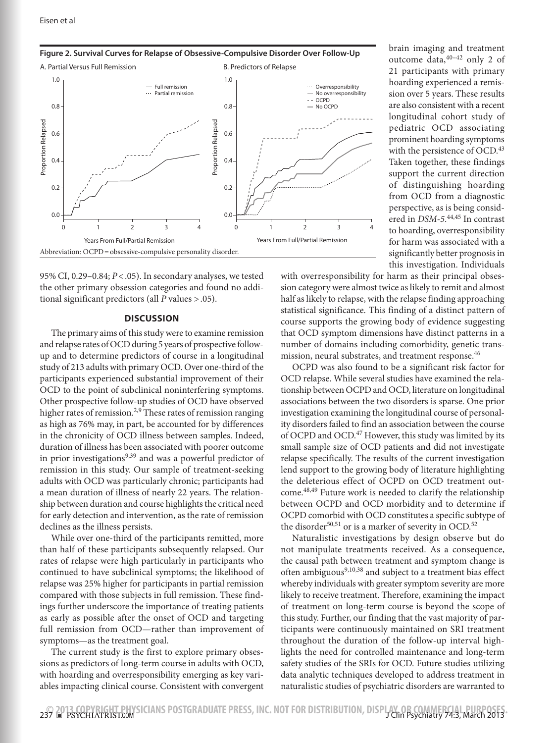

95% CI, 0.29–0.84; *P*<.05). In secondary analyses, we tested the other primary obsession categories and found no additional significant predictors (all *P* values >.05).

## **DISCUSSION**

The primary aims of this study were to examine remission and relapse rates of OCD during 5 years of prospective followup and to determine predictors of course in a longitudinal study of 213 adults with primary OCD. Over one-third of the participants experienced substantial improvement of their OCD to the point of subclinical noninterfering symptoms. Other prospective follow-up studies of OCD have observed higher rates of remission.<sup>2,9</sup> These rates of remission ranging as high as 76% may, in part, be accounted for by differences in the chronicity of OCD illness between samples. Indeed, duration of illness has been associated with poorer outcome in prior investigations $9,39$  and was a powerful predictor of remission in this study. Our sample of treatment-seeking adults with OCD was particularly chronic; participants had a mean duration of illness of nearly 22 years. The relationship between duration and course highlights the critical need for early detection and intervention, as the rate of remission declines as the illness persists.

While over one-third of the participants remitted, more than half of these participants subsequently relapsed. Our rates of relapse were high particularly in participants who continued to have subclinical symptoms; the likelihood of relapse was 25% higher for participants in partial remission compared with those subjects in full remission. These findings further underscore the importance of treating patients as early as possible after the onset of OCD and targeting full remission from OCD—rather than improvement of symptoms—as the treatment goal.

The current study is the first to explore primary obsessions as predictors of long-term course in adults with OCD, with hoarding and overresponsibility emerging as key variables impacting clinical course. Consistent with convergent brain imaging and treatment outcome data,40–42 only 2 of 21 participants with primary hoarding experienced a remission over 5 years. These results are also consistent with a recent longitudinal cohort study of pediatric OCD associating prominent hoarding symptoms with the persistence of  $OCD.<sup>43</sup>$ Taken together, these findings support the current direction of distinguishing hoarding from OCD from a diagnostic perspective, as is being considered in *DSM-5*. 44,45 In contrast to hoarding, overresponsibility for harm was associated with a significantly better prognosis in this investigation. Individuals

with overresponsibility for harm as their principal obsession category were almost twice as likely to remit and almost half as likely to relapse, with the relapse finding approaching statistical significance. This finding of a distinct pattern of course supports the growing body of evidence suggesting that OCD symptom dimensions have distinct patterns in a number of domains including comorbidity, genetic transmission, neural substrates, and treatment response.<sup>46</sup>

OCPD was also found to be a significant risk factor for OCD relapse. While several studies have examined the relationship between OCPD and OCD, literature on longitudinal associations between the two disorders is sparse. One prior investigation examining the longitudinal course of personality disorders failed to find an association between the course of OCPD and OCD.<sup>47</sup> However, this study was limited by its small sample size of OCD patients and did not investigate relapse specifically. The results of the current investigation lend support to the growing body of literature highlighting the deleterious effect of OCPD on OCD treatment outcome.<sup>48,49</sup> Future work is needed to clarify the relationship between OCPD and OCD morbidity and to determine if OCPD comorbid with OCD constitutes a specific subtype of the disorder<sup>50,51</sup> or is a marker of severity in OCD.<sup>52</sup>

Naturalistic investigations by design observe but do not manipulate treatments received. As a consequence, the causal path between treatment and symptom change is often ambiguous $9,10,38$  and subject to a treatment bias effect whereby individuals with greater symptom severity are more likely to receive treatment. Therefore, examining the impact of treatment on long-term course is beyond the scope of this study. Further, our finding that the vast majority of participants were continuously maintained on SRI treatment throughout the duration of the follow-up interval highlights the need for controlled maintenance and long-term safety studies of the SRIs for OCD. Future studies utilizing data analytic techniques developed to address treatment in naturalistic studies of psychiatric disorders are warranted to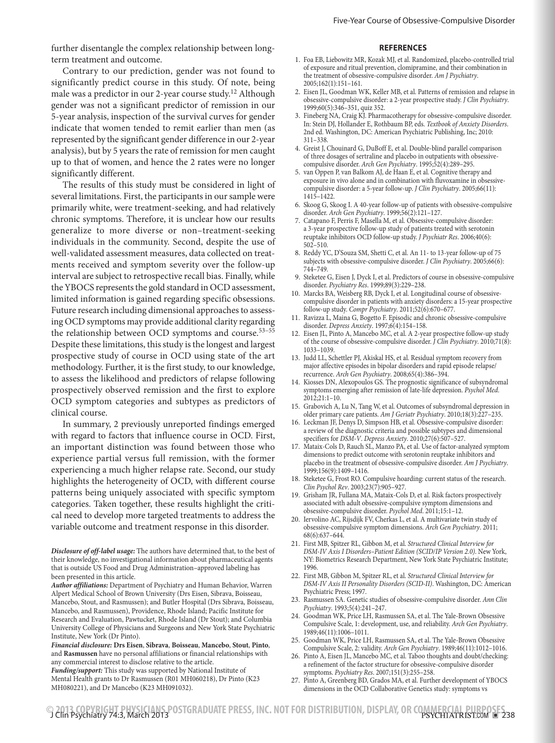further disentangle the complex relationship between longterm treatment and outcome.

Contrary to our prediction, gender was not found to significantly predict course in this study. Of note, being male was a predictor in our 2-year course study.<sup>12</sup> Although gender was not a significant predictor of remission in our 5-year analysis, inspection of the survival curves for gender indicate that women tended to remit earlier than men (as represented by the significant gender difference in our 2-year analysis), but by 5 years the rate of remission for men caught up to that of women, and hence the 2 rates were no longer significantly different.

The results of this study must be considered in light of several limitations. First, the participants in our sample were primarily white, were treatment-seeking, and had relatively chronic symptoms. Therefore, it is unclear how our results generalize to more diverse or non–treatment-seeking individuals in the community. Second, despite the use of well-validated assessment measures, data collected on treatments received and symptom severity over the follow-up interval are subject to retrospective recall bias. Finally, while the YBOCS represents the gold standard in OCD assessment, limited information is gained regarding specific obsessions. Future research including dimensional approaches to assessing OCD symptoms may provide additional clarity regarding the relationship between OCD symptoms and course.<sup>53-55</sup> Despite these limitations, this study is the longest and largest prospective study of course in OCD using state of the art methodology. Further, it is the first study, to our knowledge, to assess the likelihood and predictors of relapse following prospectively observed remission and the first to explore OCD symptom categories and subtypes as predictors of clinical course.

In summary, 2 previously unreported findings emerged with regard to factors that influence course in OCD. First, an important distinction was found between those who experience partial versus full remission, with the former experiencing a much higher relapse rate. Second, our study highlights the heterogeneity of OCD, with different course patterns being uniquely associated with specific symptom categories. Taken together, these results highlight the critical need to develop more targeted treatments to address the variable outcome and treatment response in this disorder.

*Disclosure of off-label usage:* The authors have determined that, to the best of their knowledge, no investigational information about pharmaceutical agents that is outside US Food and Drug Administration–approved labeling has been presented in this article.

*Author affiliations:* Department of Psychiatry and Human Behavior, Warren Alpert Medical School of Brown University (Drs Eisen, Sibrava, Boisseau, Mancebo, Stout, and Rasmussen); and Butler Hospital (Drs Sibrava, Boisseau, Mancebo, and Rasmussen), Providence, Rhode Island; Pacific Institute for Research and Evaluation, Pawtucket, Rhode Island (Dr Stout); and Columbia University College of Physicians and Surgeons and New York State Psychiatric Institute, New York (Dr Pinto).

*Financial disclosure:* **Drs Eisen**, **Sibrava**, **Boisseau**, **Mancebo**, **Stout**, **Pinto**, and **Rasmussen** have no personal affiliations or financial relationships with any commercial interest to disclose relative to the article.

*Funding/support:* This study was supported by National Institute of Mental Health grants to Dr Rasmussen (R01 MH060218), Dr Pinto (K23 MH080221), and Dr Mancebo (K23 MH091032).

#### **REFERENCES**

- 1. Foa EB, Liebowitz MR, Kozak MJ, et al. Randomized, placebo-controlled trial of exposure and ritual prevention, clomipramine, and their combination in the treatment of obsessive-compulsive disorder. *Am J Psychiatry*. 2005;162(1):151-161.
- 2. Eisen JL, Goodman WK, Keller MB, et al. Patterns of remission and relapse in obsessive-compulsive disorder: a 2-year prospective study. *J Clin Psychiatry*. 1999;60(5):346-351, quiz 352.
- 3. Fineberg NA, Craig KJ. Pharmacotherapy for obsessive-compulsive disorder. In: Stein DJ, Hollander E, Rothbaum BP, eds. *Textbook of Anxiety Disorders*. 2nd ed. Washington, DC: American Psychiatric Publishing, Inc; 2010: 311–338.
- 4. Greist J, Chouinard G, DuBoff E, et al. Double-blind parallel comparison of three dosages of sertraline and placebo in outpatients with obsessivecompulsive disorder. *Arch Gen Psychiatry*. 1995;52(4):289-295.
- 5. van Oppen P, van Balkom AJ, de Haan E, et al. Cognitive therapy and exposure in vivo alone and in combination with fluvoxamine in obsessivecompulsive disorder: a 5-year follow-up. *J Clin Psychiatry*. 2005;66(11): 1415–1422.
- 6. Skoog G, Skoog I. A 40-year follow-up of patients with obsessive-compulsive disorder. *Arch Gen Psychiatry*. 1999;56(2):121-127.
- 7. Catapano F, Perris F, Masella M, et al. Obsessive-compulsive disorder: a 3-year prospective follow-up study of patients treated with serotonin reuptake inhibitors OCD follow-up study. *J Psychiatr Res*. 2006;40(6): 502–510.
- 8. Reddy YC, D'Souza SM, Shetti C, et al. An 11- to 13-year follow-up of 75 subjects with obsessive-compulsive disorder. *J Clin Psychiatry*. 2005;66(6): 744–749.
- 9. Steketee G, Eisen J, Dyck I, et al. Predictors of course in obsessive-compulsive disorder. *Psychiatry Res.* 1999;89(3):229-238.
- 10. Marcks BA, Weisberg RB, Dyck I, et al. Longitudinal course of obsessivecompulsive disorder in patients with anxiety disorders: a 15-year prospective follow-up study. *Compr Psychiatry*. 2011;52(6):670-677.
- 11. Ravizza L, Maina G, Bogetto F. Episodic and chronic obsessive-compulsive disorder. *Depress Anxiety*. 1997;6(4):154-158.
- 12. Eisen JL, Pinto A, Mancebo MC, et al. A 2-year prospective follow-up study of the course of obsessive-compulsive disorder. *J Clin Psychiatry*. 2010;71(8): 1033-1039.
- 13. Judd LL, Schettler PJ, Akiskal HS, et al. Residual symptom recovery from major affective episodes in bipolar disorders and rapid episode relapse/ recurrence. *Arch Gen Psychiatry*. 2008;65(4):386-394.
- 14. Kiosses DN, Alexopoulos GS. The prognostic significance of subsyndromal symptoms emerging after remission of late-life depression. *Psychol Med*. 2012;21:1-10.
- 15. Grabovich A, Lu N, Tang W, et al. Outcomes of subsyndromal depression in older primary care patients. *Am J Geriatr Psychiatry*. 2010;18(3):227-235.
- 16. Leckman JF, Denys D, Simpson HB, et al. Obsessive-compulsive disorder: a review of the diagnostic criteria and possible subtypes and dimensional specifiers for *DSM-V. Depress Anxiety*. 2010;27(6):507-527.
- 17. Mataix-Cols D, Rauch SL, Manzo PA, et al. Use of factor-analyzed symptom dimensions to predict outcome with serotonin reuptake inhibitors and placebo in the treatment of obsessive-compulsive disorder. *Am J Psychiatry*. .<br>1999;156(9):1409–1416.
- 18. Steketee G, Frost RO. Compulsive hoarding: current status of the research. *Clin Psychol Rev.* 2003;23(7):905-927.
- 19. Grisham JR, Fullana MA, Mataix-Cols D, et al. Risk factors prospectively associated with adult obsessive-compulsive symptom dimensions and obsessive-compulsive disorder. *Psychol Med.* 2011;15:1-12.
- 20. Iervolino AC, Rijsdijk FV, Cherkas L, et al. A multivariate twin study of obsessive-compulsive symptom dimensions. *Arch Gen Psychiatry*. 2011; 68(6):637-644.
- 21. First MB, Spitzer RL, Gibbon M, et al. *Structured Clinical Interview for DSM-IV Axis I Disorders–Patient Edition (SCID/IP Version 2.0)*. New York, NY: Biometrics Research Department, New York State Psychiatric Institute; 1996.
- 22. First MB, Gibbon M, Spitzer RL, et al. *Structured Clinical Interview for DSM-IV Axis II Personality Disorders (SCID-II)*. Washington, DC: American Psychiatric Press; 1997.
- 23. Rasmussen SA. Genetic studies of obsessive-compulsive disorder. *Ann Clin Psychiatry*. 1993;5(4):241-247.
- 24. Goodman WK, Price LH, Rasmussen SA, et al. The Yale-Brown Obsessive Compulsive Scale, 1: development, use, and reliability. *Arch Gen Psychiatry*. 1989;46(11):1006-1011.
- 25. Goodman WK, Price LH, Rasmussen SA, et al. The Yale-Brown Obsessive Compulsive Scale, 2: validity. *Arch Gen Psychiatry*. 1989;46(11):1012-1016.
- 26. Pinto A, Eisen JL, Mancebo MC, et al. Taboo thoughts and doubt/checking: a refinement of the factor structure for obsessive-compulsive disorder symptoms. *Psychiatry Res*. 2007;151(3):255-258.
- 27. Pinto A, Greenberg BD, Grados MA, et al. Further development of YBOCS dimensions in the OCD Collaborative Genetics study: symptoms vs